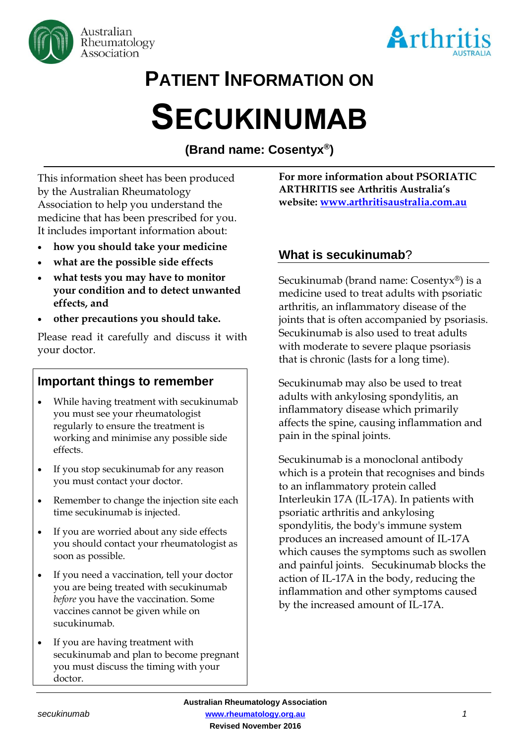



# **PATIENT INFORMATION ON SECUKINUMAB**

**(Brand name: Cosentyx® )**

This information sheet has been produced by the Australian Rheumatology Association to help you understand the medicine that has been prescribed for you. It includes important information about:

- **how you should take your medicine**
- **what are the possible side effects**
- **what tests you may have to monitor your condition and to detect unwanted effects, and**
- **other precautions you should take.**

Please read it carefully and discuss it with your doctor.

# **Important things to remember**

- While having treatment with secukinumab you must see your rheumatologist regularly to ensure the treatment is working and minimise any possible side effects.
- If you stop secukinumab for any reason you must contact your doctor.
- Remember to change the injection site each time secukinumab is injected.
- If you are worried about any side effects you should contact your rheumatologist as soon as possible.
- If you need a vaccination, tell your doctor you are being treated with secukinumab *before* you have the vaccination. Some vaccines cannot be given while on sucukinumab.
- If you are having treatment with secukinumab and plan to become pregnant you must discuss the timing with your doctor.

**For more information about PSORIATIC ARTHRITIS see Arthritis Australia's website: [www.arthritisaustralia.com.au](http://www.arthritisaustralia.com.au/)**

# **What is secukinumab**?

Secukinumab (brand name: Cosentyx®) is a medicine used to treat adults with psoriatic arthritis, an inflammatory disease of the joints that is often accompanied by psoriasis. Secukinumab is also used to treat adults with moderate to severe plaque psoriasis that is chronic (lasts for a long time).

Secukinumab may also be used to treat adults with ankylosing spondylitis, an inflammatory disease which primarily affects the spine, causing inflammation and pain in the spinal joints.

Secukinumab is a monoclonal antibody which is a protein that recognises and binds to an inflammatory protein called Interleukin 17A (IL-17A). In patients with psoriatic arthritis and ankylosing spondylitis, the body's immune system produces an increased amount of IL-17A which causes the symptoms such as swollen and painful joints. Secukinumab blocks the action of IL-17A in the body, reducing the inflammation and other symptoms caused by the increased amount of IL-17A.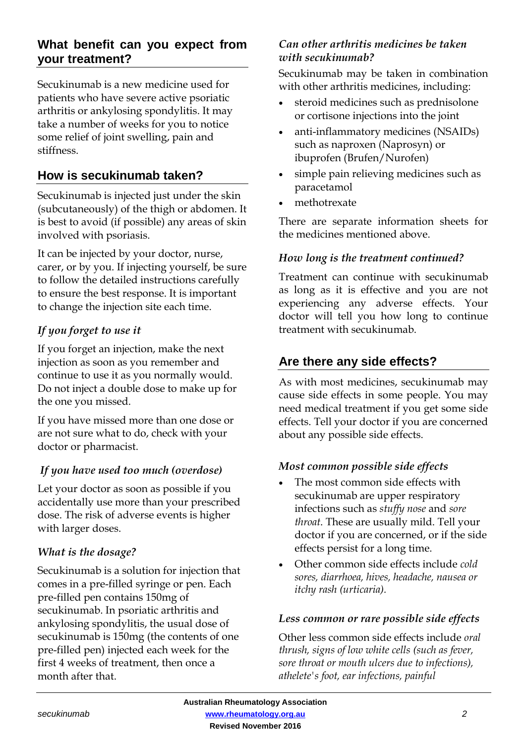## **What benefit can you expect from your treatment?**

Secukinumab is a new medicine used for patients who have severe active psoriatic arthritis or ankylosing spondylitis. It may take a number of weeks for you to notice some relief of joint swelling, pain and stiffness.

## **How is secukinumab taken?**

Secukinumab is injected just under the skin (subcutaneously) of the thigh or abdomen. It is best to avoid (if possible) any areas of skin involved with psoriasis.

It can be injected by your doctor, nurse, carer, or by you. If injecting yourself, be sure to follow the detailed instructions carefully to ensure the best response. It is important to change the injection site each time.

## *If you forget to use it*

If you forget an injection, make the next injection as soon as you remember and continue to use it as you normally would. Do not inject a double dose to make up for the one you missed.

If you have missed more than one dose or are not sure what to do, check with your doctor or pharmacist.

## *If you have used too much (overdose)*

Let your doctor as soon as possible if you accidentally use more than your prescribed dose. The risk of adverse events is higher with larger doses.

## *What is the dosage?*

Secukinumab is a solution for injection that comes in a pre-filled syringe or pen. Each pre-filled pen contains 150mg of secukinumab. In psoriatic arthritis and ankylosing spondylitis, the usual dose of secukinumab is 150mg (the contents of one pre-filled pen) injected each week for the first 4 weeks of treatment, then once a month after that.

#### *Can other arthritis medicines be taken with secukinumab?*

Secukinumab may be taken in combination with other arthritis medicines, including:

- steroid medicines such as prednisolone or cortisone injections into the joint
- anti-inflammatory medicines (NSAIDs) such as naproxen (Naprosyn) or ibuprofen (Brufen/Nurofen)
- simple pain relieving medicines such as paracetamol
- methotrexate

There are separate information sheets for the medicines mentioned above.

#### *How long is the treatment continued?*

Treatment can continue with secukinumab as long as it is effective and you are not experiencing any adverse effects. Your doctor will tell you how long to continue treatment with secukinumab.

## **Are there any side effects?**

As with most medicines, secukinumab may cause side effects in some people. You may need medical treatment if you get some side effects. Tell your doctor if you are concerned about any possible side effects.

#### *Most common possible side effects*

- The most common side effects with secukinumab are upper respiratory infections such as *stuffy nose* and *sore throat*. These are usually mild. Tell your doctor if you are concerned, or if the side effects persist for a long time.
- Other common side effects include *cold sores, diarrhoea, hives, headache, nausea or itchy rash (urticaria).*

#### *Less common or rare possible side effects*

Other less common side effects include *oral thrush, signs of low white cells (such as fever, sore throat or mouth ulcers due to infections), athelete's foot, ear infections, painful*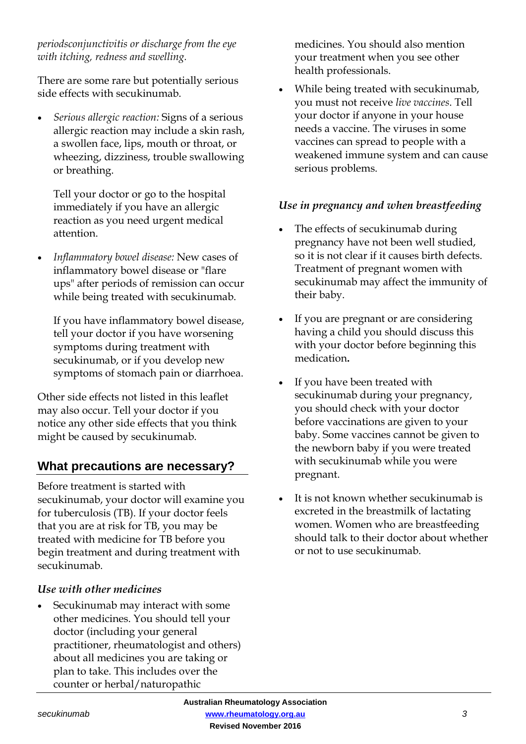*periodsconjunctivitis or discharge from the eye with itching, redness and swelling.* 

There are some rare but potentially serious side effects with secukinumab.

• *Serious allergic reaction:* Signs of a serious allergic reaction may include a skin rash, a swollen face, lips, mouth or throat, or wheezing, dizziness, trouble swallowing or breathing.

Tell your doctor or go to the hospital immediately if you have an allergic reaction as you need urgent medical attention.

• *Inflammatory bowel disease:* New cases of inflammatory bowel disease or "flare ups" after periods of remission can occur while being treated with secukinumab.

If you have inflammatory bowel disease, tell your doctor if you have worsening symptoms during treatment with secukinumab, or if you develop new symptoms of stomach pain or diarrhoea.

Other side effects not listed in this leaflet may also occur. Tell your doctor if you notice any other side effects that you think might be caused by secukinumab.

# **What precautions are necessary?**

Before treatment is started with secukinumab, your doctor will examine you for tuberculosis (TB). If your doctor feels that you are at risk for TB, you may be treated with medicine for TB before you begin treatment and during treatment with secukinumab.

## *Use with other medicines*

• Secukinumab may interact with some other medicines. You should tell your doctor (including your general practitioner, rheumatologist and others) about all medicines you are taking or plan to take. This includes over the counter or herbal/naturopathic

medicines. You should also mention your treatment when you see other health professionals.

• While being treated with secukinumab, you must not receive *live vaccines*. Tell your doctor if anyone in your house needs a vaccine. The viruses in some vaccines can spread to people with a weakened immune system and can cause serious problems.

## *Use in pregnancy and when breastfeeding*

- The effects of secukinumab during pregnancy have not been well studied, so it is not clear if it causes birth defects. Treatment of pregnant women with secukinumab may affect the immunity of their baby.
- If you are pregnant or are considering having a child you should discuss this with your doctor before beginning this medication**.**
- If you have been treated with secukinumab during your pregnancy, you should check with your doctor before vaccinations are given to your baby. Some vaccines cannot be given to the newborn baby if you were treated with secukinumab while you were pregnant.
- It is not known whether secukinumab is excreted in the breastmilk of lactating women. Women who are breastfeeding should talk to their doctor about whether or not to use secukinumab.